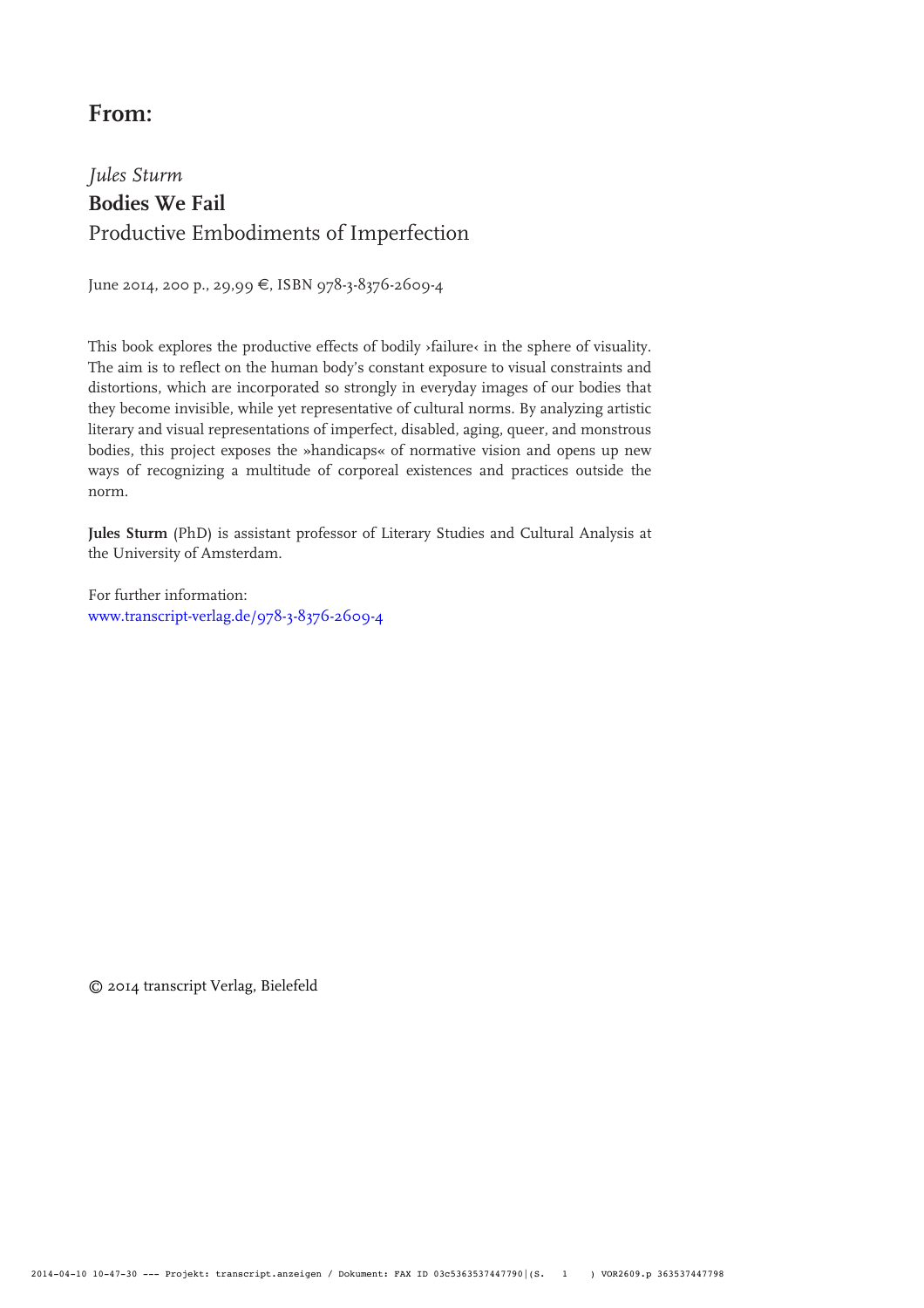## **From:**

# *Jules Sturm* **Bodies We Fail** Productive Embodiments of Imperfection

June 2014, 200 p., 29,99 €, ISBN 978-3-8376-2609-4

This book explores the productive effects of bodily ›failure‹ in the sphere of visuality. The aim is to reflect on the human body's constant exposure to visual constraints and distortions, which are incorporated so strongly in everyday images of our bodies that they become invisible, while yet representative of cultural norms. By analyzing artistic literary and visual representations of imperfect, disabled, aging, queer, and monstrous bodies, this project exposes the »handicaps« of normative vision and opens up new ways of recognizing a multitude of corporeal existences and practices outside the norm.

**Jules Sturm** (PhD) is assistant professor of Literary Studies and Cultural Analysis at the University of Amsterdam.

For further information: [www.transcript-verlag.de/978-3-8376-2609-](http://www.transcript-verlag.de/978-3-8376-2609-4)4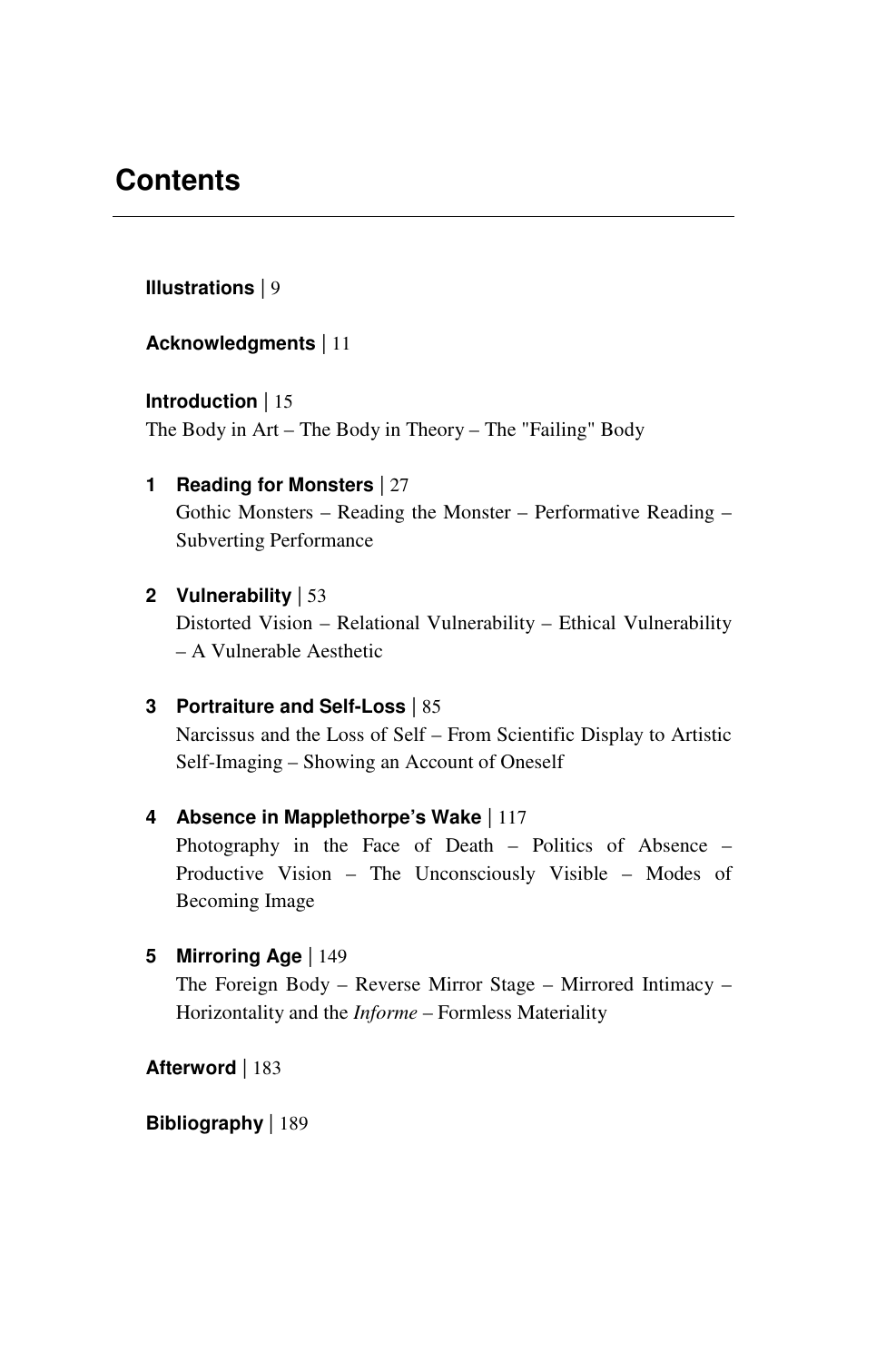## **Contents**

**Illustrations** | 9

**Acknowledgments** | 11

**Introduction** | 15 The Body in Art – The Body in Theory – The "Failing" Body

- **1 Reading for Monsters** | 27 Gothic Monsters – Reading the Monster – Performative Reading – Subverting Performance
- **2 Vulnerability** | 53 Distorted Vision – Relational Vulnerability – Ethical Vulnerability – A Vulnerable Aesthetic
- **3 Portraiture and Self-Loss** | 85 Narcissus and the Loss of Self – From Scientific Display to Artistic Self-Imaging – Showing an Account of Oneself
- **4 Absence in Mapplethorpe's Wake** | 117 Photography in the Face of Death – Politics of Absence – Productive Vision – The Unconsciously Visible – Modes of Becoming Image
- **5 Mirroring Age** | 149 The Foreign Body – Reverse Mirror Stage – Mirrored Intimacy – Horizontality and the *Informe* – Formless Materiality

**Afterword** | 183

**Bibliography** | 189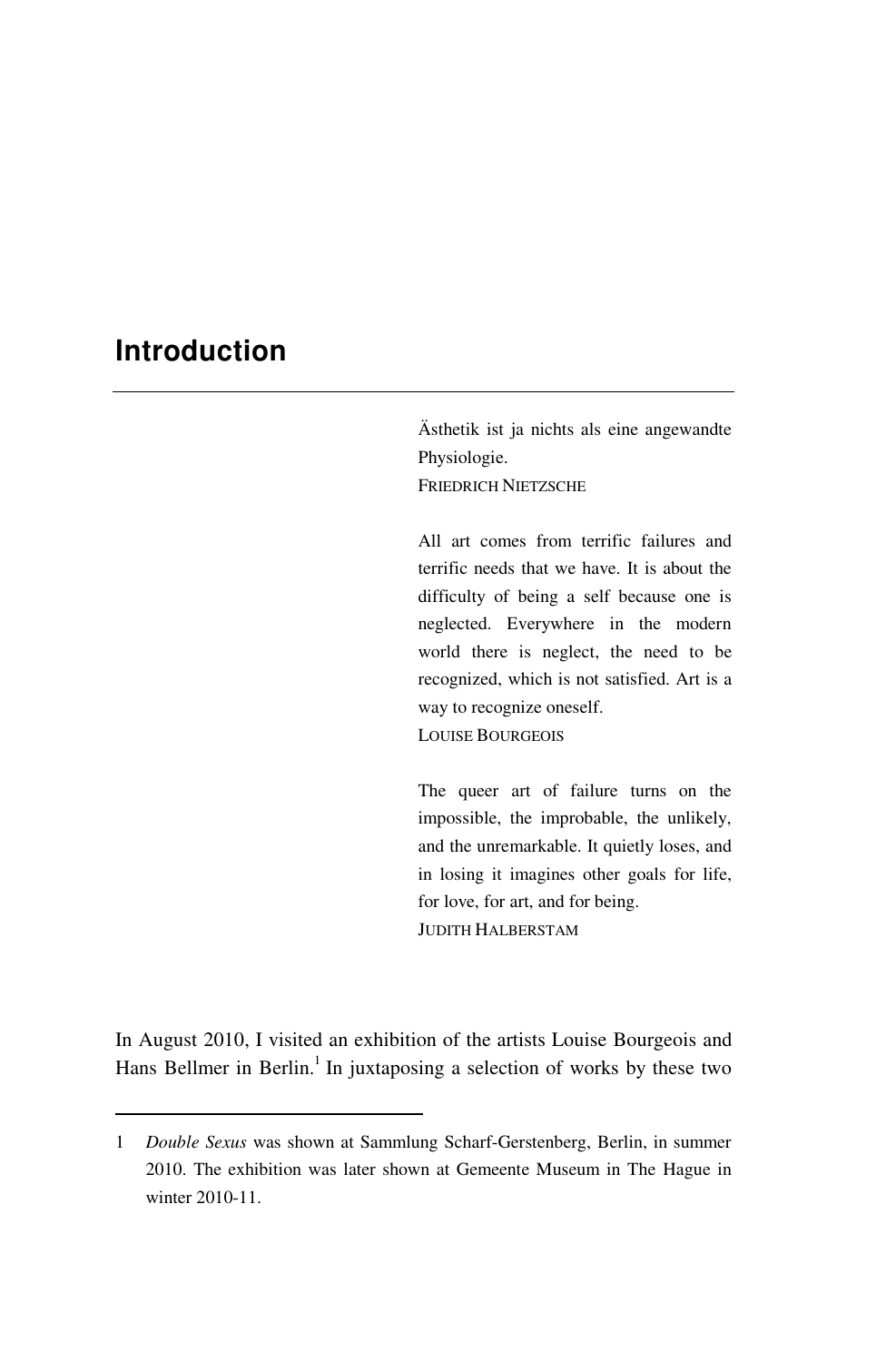### **Introduction**

 $\overline{a}$ 

Ästhetik ist ja nichts als eine angewandte Physiologie. FRIEDRICH NIETZSCHE

All art comes from terrific failures and terrific needs that we have. It is about the difficulty of being a self because one is neglected. Everywhere in the modern world there is neglect, the need to be recognized, which is not satisfied. Art is a way to recognize oneself. LOUISE BOURGEOIS

The queer art of failure turns on the impossible, the improbable, the unlikely, and the unremarkable. It quietly loses, and in losing it imagines other goals for life, for love, for art, and for being. JUDITH HALBERSTAM

In August 2010, I visited an exhibition of the artists Louise Bourgeois and Hans Bellmer in Berlin.<sup>1</sup> In juxtaposing a selection of works by these two

<sup>1</sup> *Double Sexus* was shown at Sammlung Scharf-Gerstenberg, Berlin, in summer 2010. The exhibition was later shown at Gemeente Museum in The Hague in winter 2010-11.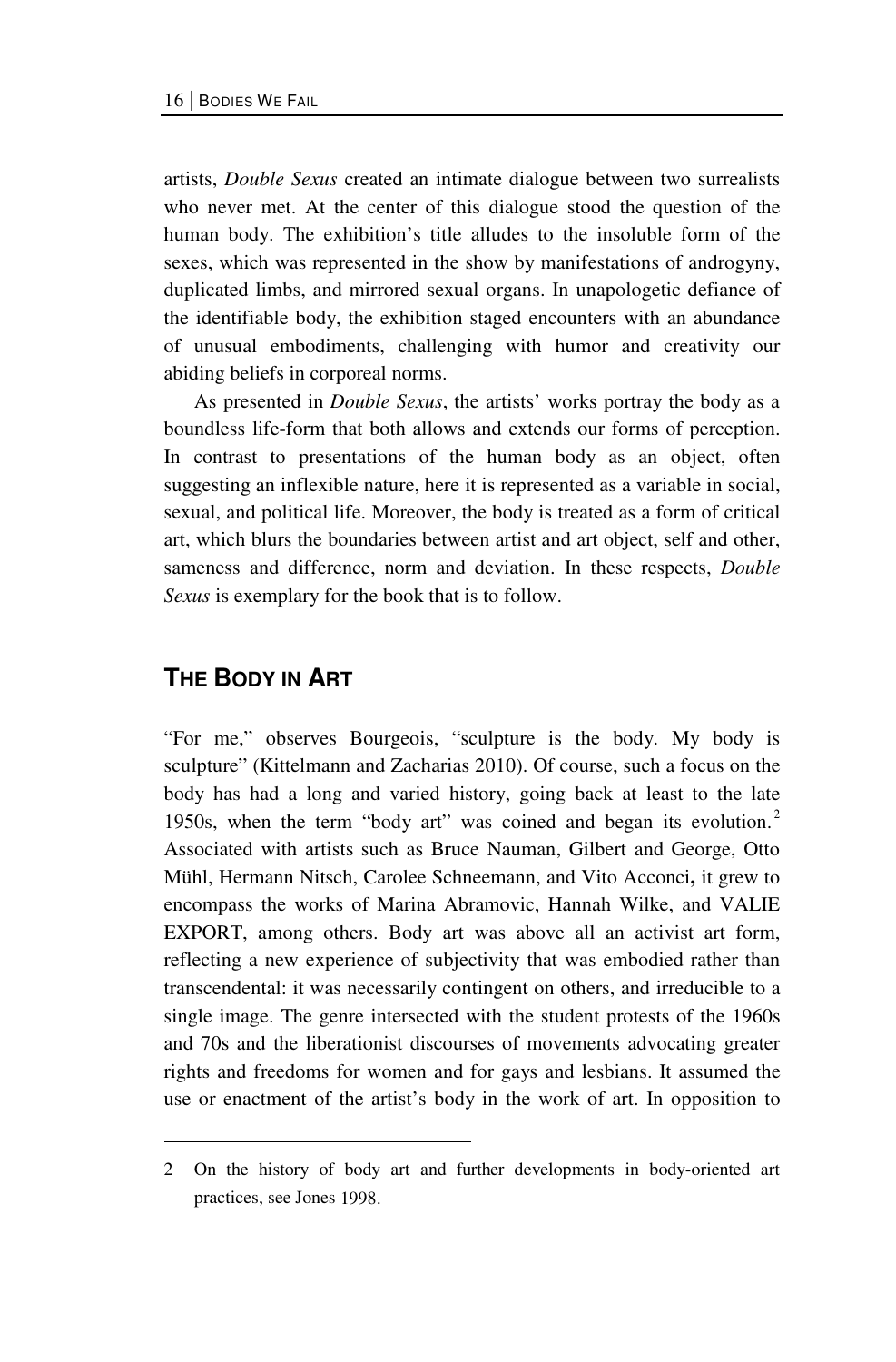artists, *Double Sexus* created an intimate dialogue between two surrealists who never met. At the center of this dialogue stood the question of the human body. The exhibition's title alludes to the insoluble form of the sexes, which was represented in the show by manifestations of androgyny, duplicated limbs, and mirrored sexual organs. In unapologetic defiance of the identifiable body, the exhibition staged encounters with an abundance of unusual embodiments, challenging with humor and creativity our abiding beliefs in corporeal norms.

As presented in *Double Sexus*, the artists' works portray the body as a boundless life-form that both allows and extends our forms of perception. In contrast to presentations of the human body as an object, often suggesting an inflexible nature, here it is represented as a variable in social, sexual, and political life. Moreover, the body is treated as a form of critical art, which blurs the boundaries between artist and art object, self and other, sameness and difference, norm and deviation. In these respects, *Double Sexus* is exemplary for the book that is to follow.

#### **THE BODY IN ART**

 $\overline{a}$ 

"For me," observes Bourgeois, "sculpture is the body. My body is sculpture" (Kittelmann and Zacharias 2010). Of course, such a focus on the body has had a long and varied history, going back at least to the late 1950s, when the term "body art" was coined and began its evolution.<sup>2</sup> Associated with artists such as Bruce Nauman, Gilbert and George, Otto Mühl, Hermann Nitsch, Carolee Schneemann, and Vito Acconci**,** it grew to encompass the works of Marina Abramovic, Hannah Wilke, and VALIE EXPORT, among others. Body art was above all an activist art form, reflecting a new experience of subjectivity that was embodied rather than transcendental: it was necessarily contingent on others, and irreducible to a single image. The genre intersected with the student protests of the 1960s and 70s and the liberationist discourses of movements advocating greater rights and freedoms for women and for gays and lesbians. It assumed the use or enactment of the artist's body in the work of art. In opposition to

<sup>2</sup> On the history of body art and further developments in body-oriented art practices, see Jones 1998.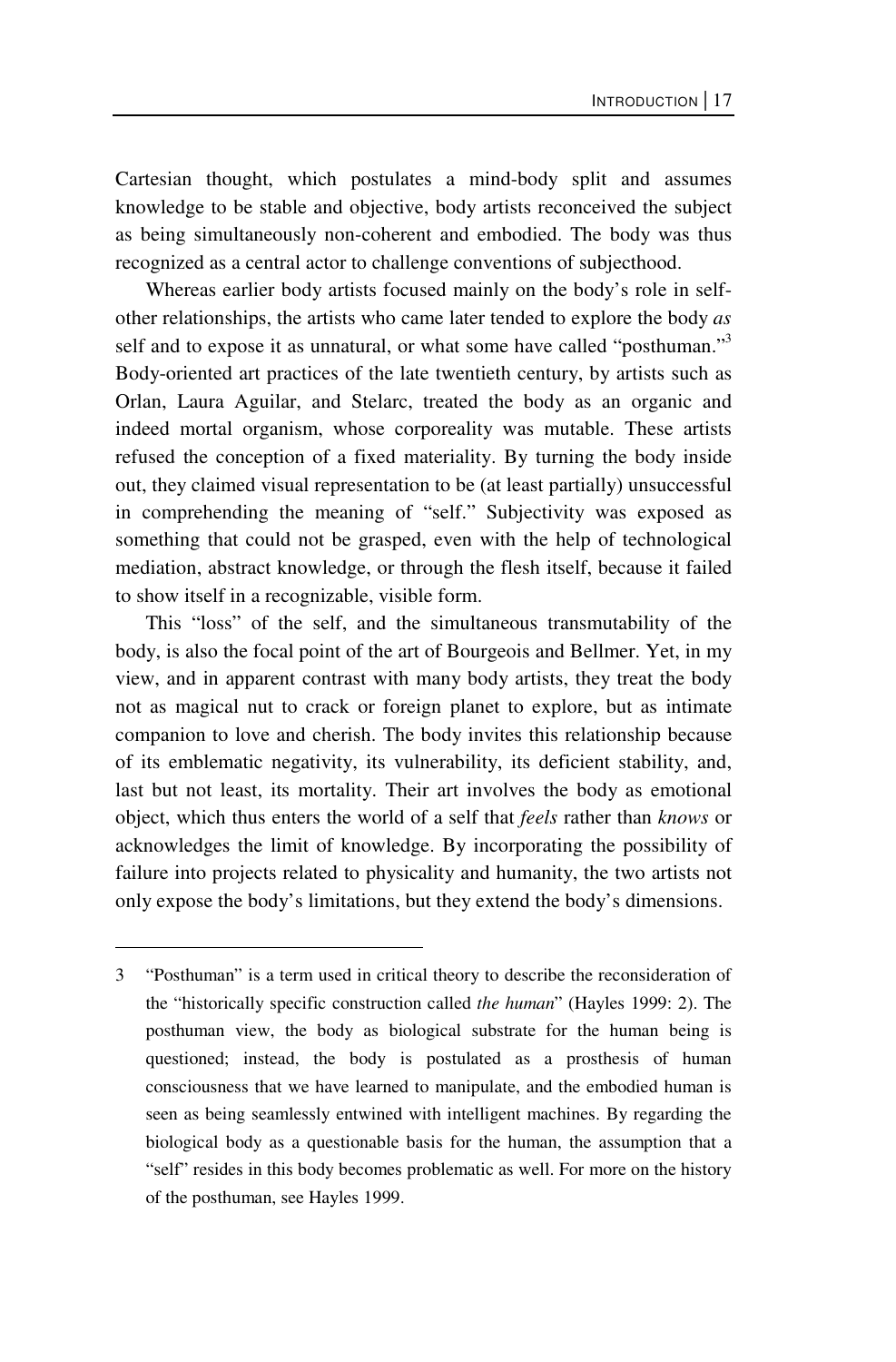Cartesian thought, which postulates a mind-body split and assumes knowledge to be stable and objective, body artists reconceived the subject as being simultaneously non-coherent and embodied. The body was thus recognized as a central actor to challenge conventions of subjecthood.

Whereas earlier body artists focused mainly on the body's role in selfother relationships, the artists who came later tended to explore the body *as*  self and to expose it as unnatural, or what some have called "posthuman."<sup>3</sup> Body-oriented art practices of the late twentieth century, by artists such as Orlan, Laura Aguilar, and Stelarc, treated the body as an organic and indeed mortal organism, whose corporeality was mutable. These artists refused the conception of a fixed materiality. By turning the body inside out, they claimed visual representation to be (at least partially) unsuccessful in comprehending the meaning of "self." Subjectivity was exposed as something that could not be grasped, even with the help of technological mediation, abstract knowledge, or through the flesh itself, because it failed to show itself in a recognizable, visible form.

This "loss" of the self, and the simultaneous transmutability of the body, is also the focal point of the art of Bourgeois and Bellmer. Yet, in my view, and in apparent contrast with many body artists, they treat the body not as magical nut to crack or foreign planet to explore, but as intimate companion to love and cherish. The body invites this relationship because of its emblematic negativity, its vulnerability, its deficient stability, and, last but not least, its mortality. Their art involves the body as emotional object, which thus enters the world of a self that *feels* rather than *knows* or acknowledges the limit of knowledge. By incorporating the possibility of failure into projects related to physicality and humanity, the two artists not only expose the body's limitations, but they extend the body's dimensions.

 $\overline{a}$ 

<sup>3 &</sup>quot;Posthuman" is a term used in critical theory to describe the reconsideration of the "historically specific construction called *the human*" (Hayles 1999: 2). The posthuman view, the body as biological substrate for the human being is questioned; instead, the body is postulated as a prosthesis of human consciousness that we have learned to manipulate, and the embodied human is seen as being seamlessly entwined with intelligent machines. By regarding the biological body as a questionable basis for the human, the assumption that a "self" resides in this body becomes problematic as well. For more on the history of the posthuman, see Hayles 1999.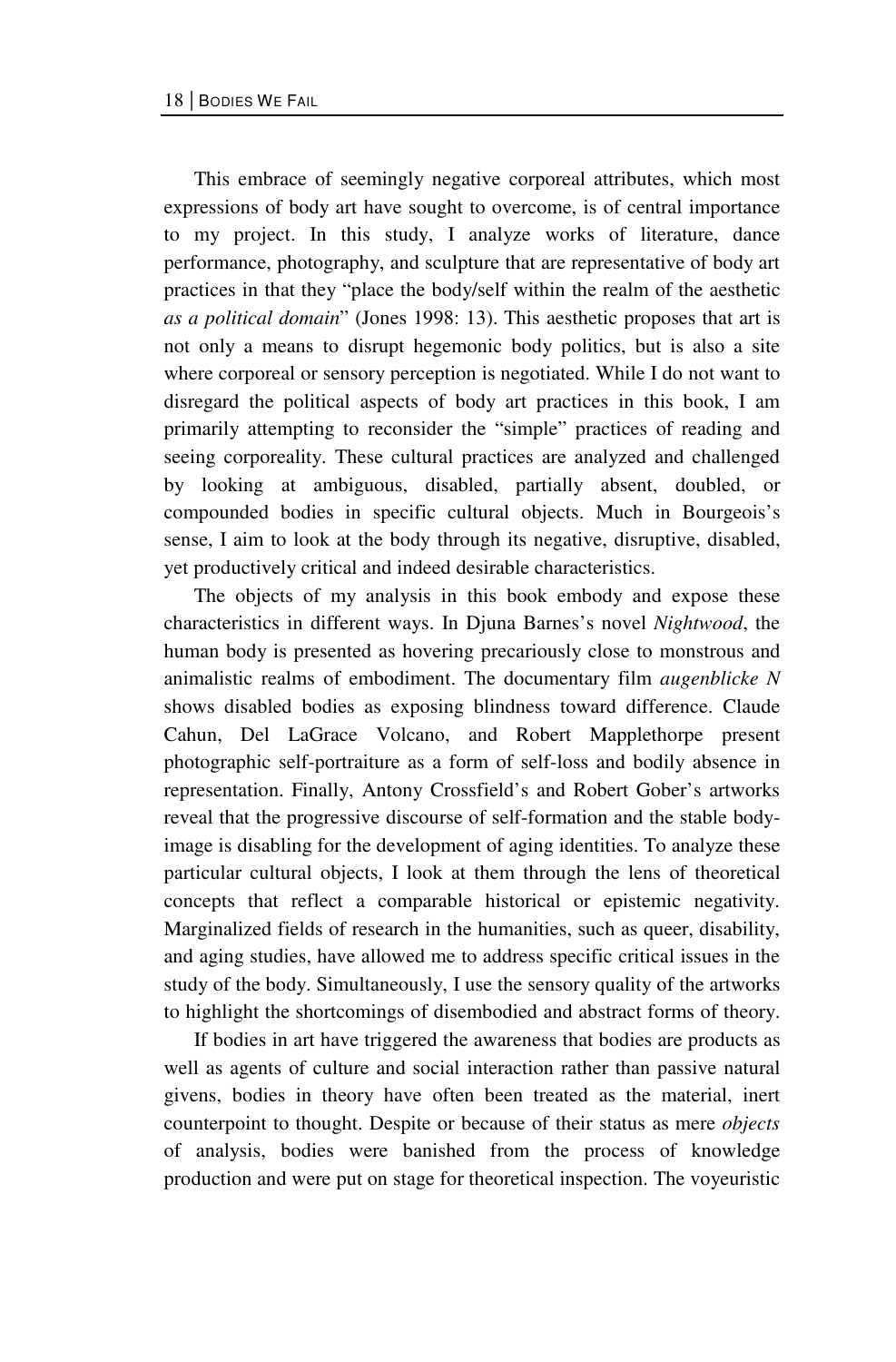This embrace of seemingly negative corporeal attributes, which most expressions of body art have sought to overcome, is of central importance to my project. In this study, I analyze works of literature, dance performance, photography, and sculpture that are representative of body art practices in that they "place the body/self within the realm of the aesthetic *as a political domain*" (Jones 1998: 13). This aesthetic proposes that art is not only a means to disrupt hegemonic body politics, but is also a site where corporeal or sensory perception is negotiated. While I do not want to disregard the political aspects of body art practices in this book, I am primarily attempting to reconsider the "simple" practices of reading and seeing corporeality. These cultural practices are analyzed and challenged by looking at ambiguous, disabled, partially absent, doubled, or compounded bodies in specific cultural objects. Much in Bourgeois's sense, I aim to look at the body through its negative, disruptive, disabled, yet productively critical and indeed desirable characteristics.

The objects of my analysis in this book embody and expose these characteristics in different ways. In Djuna Barnes's novel *Nightwood*, the human body is presented as hovering precariously close to monstrous and animalistic realms of embodiment. The documentary film *augenblicke N*  shows disabled bodies as exposing blindness toward difference. Claude Cahun, Del LaGrace Volcano, and Robert Mapplethorpe present photographic self-portraiture as a form of self-loss and bodily absence in representation. Finally, Antony Crossfield's and Robert Gober's artworks reveal that the progressive discourse of self-formation and the stable bodyimage is disabling for the development of aging identities. To analyze these particular cultural objects, I look at them through the lens of theoretical concepts that reflect a comparable historical or epistemic negativity. Marginalized fields of research in the humanities, such as queer, disability, and aging studies, have allowed me to address specific critical issues in the study of the body. Simultaneously, I use the sensory quality of the artworks to highlight the shortcomings of disembodied and abstract forms of theory.

 If bodies in art have triggered the awareness that bodies are products as well as agents of culture and social interaction rather than passive natural givens, bodies in theory have often been treated as the material, inert counterpoint to thought. Despite or because of their status as mere *objects*  of analysis, bodies were banished from the process of knowledge production and were put on stage for theoretical inspection. The voyeuristic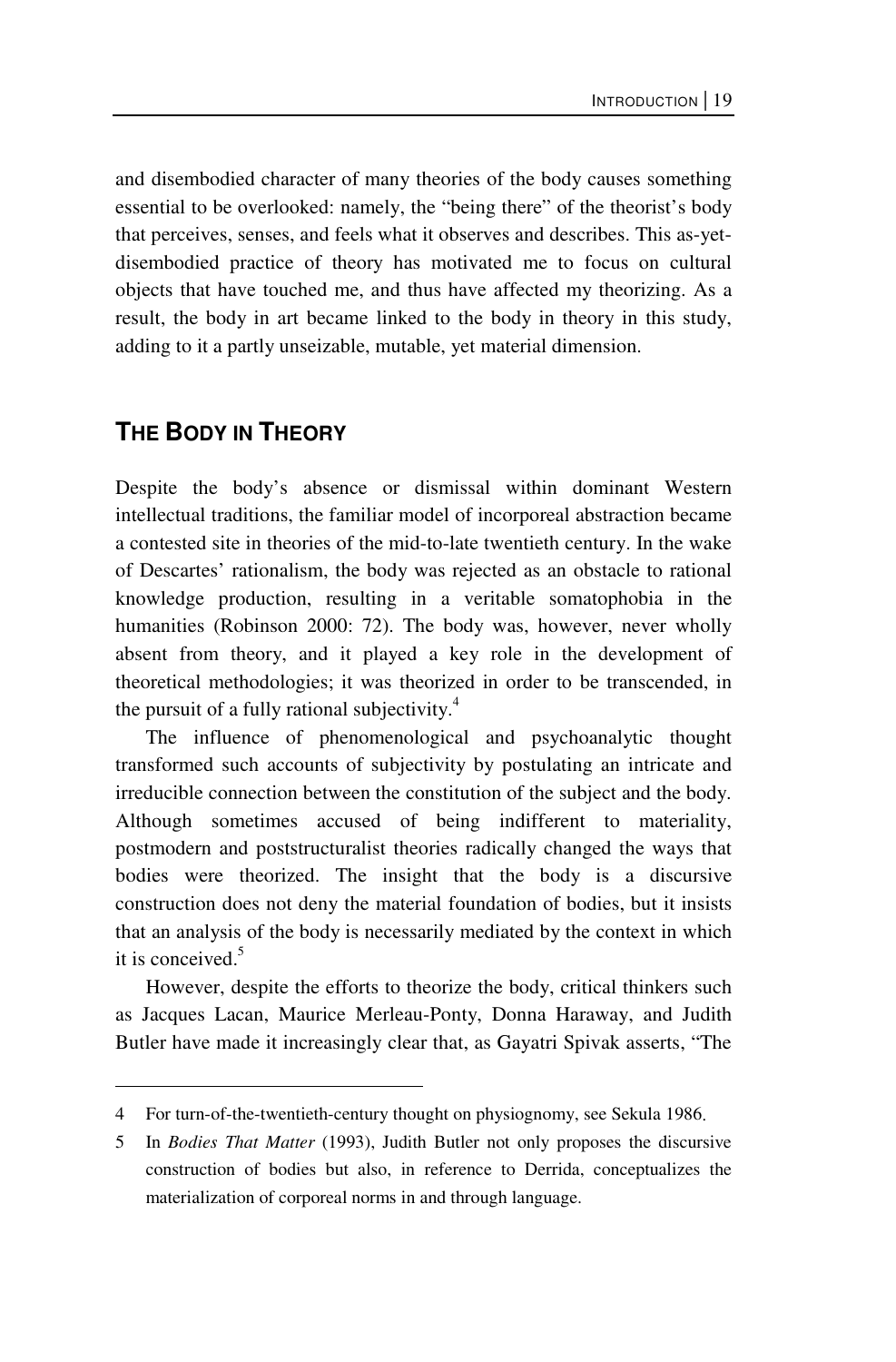and disembodied character of many theories of the body causes something essential to be overlooked: namely, the "being there" of the theorist's body that perceives, senses, and feels what it observes and describes. This as-yetdisembodied practice of theory has motivated me to focus on cultural objects that have touched me, and thus have affected my theorizing. As a result, the body in art became linked to the body in theory in this study, adding to it a partly unseizable, mutable, yet material dimension.

#### **THE BODY IN THEORY**

 $\overline{a}$ 

Despite the body's absence or dismissal within dominant Western intellectual traditions, the familiar model of incorporeal abstraction became a contested site in theories of the mid-to-late twentieth century. In the wake of Descartes' rationalism, the body was rejected as an obstacle to rational knowledge production, resulting in a veritable somatophobia in the humanities (Robinson 2000: 72). The body was, however, never wholly absent from theory, and it played a key role in the development of theoretical methodologies; it was theorized in order to be transcended, in the pursuit of a fully rational subjectivity. $4$ 

The influence of phenomenological and psychoanalytic thought transformed such accounts of subjectivity by postulating an intricate and irreducible connection between the constitution of the subject and the body. Although sometimes accused of being indifferent to materiality, postmodern and poststructuralist theories radically changed the ways that bodies were theorized. The insight that the body is a discursive construction does not deny the material foundation of bodies, but it insists that an analysis of the body is necessarily mediated by the context in which it is conceived. $5$ 

However, despite the efforts to theorize the body, critical thinkers such as Jacques Lacan, Maurice Merleau-Ponty, Donna Haraway, and Judith Butler have made it increasingly clear that, as Gayatri Spivak asserts, "The

<sup>4</sup> For turn-of-the-twentieth-century thought on physiognomy, see Sekula 1986.

<sup>5</sup> In *Bodies That Matter* (1993), Judith Butler not only proposes the discursive construction of bodies but also, in reference to Derrida, conceptualizes the materialization of corporeal norms in and through language.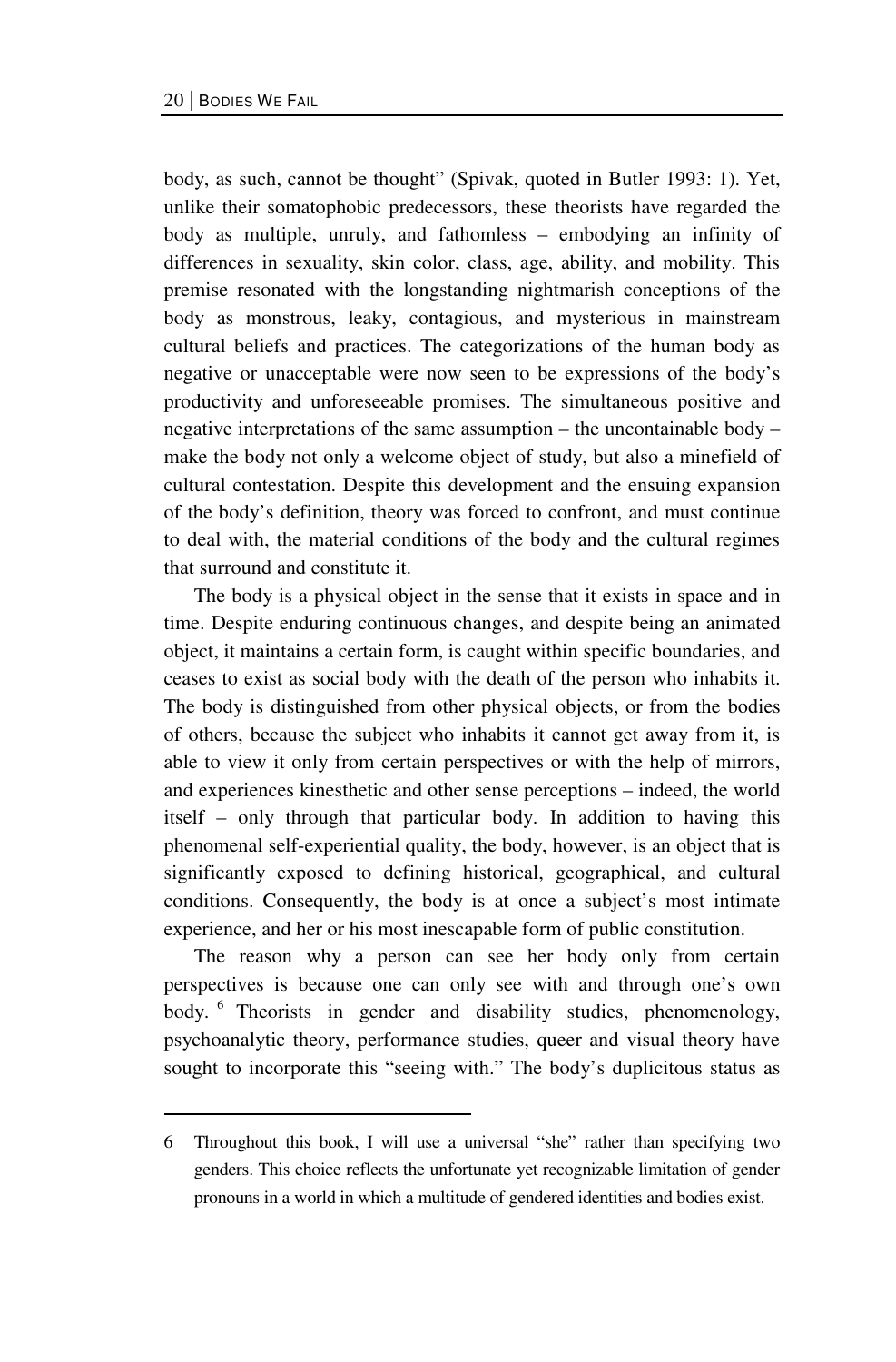$\overline{a}$ 

body, as such, cannot be thought" (Spivak, quoted in Butler 1993: 1). Yet, unlike their somatophobic predecessors, these theorists have regarded the body as multiple, unruly, and fathomless – embodying an infinity of differences in sexuality, skin color, class, age, ability, and mobility. This premise resonated with the longstanding nightmarish conceptions of the body as monstrous, leaky, contagious, and mysterious in mainstream cultural beliefs and practices. The categorizations of the human body as negative or unacceptable were now seen to be expressions of the body's productivity and unforeseeable promises. The simultaneous positive and negative interpretations of the same assumption – the uncontainable body – make the body not only a welcome object of study, but also a minefield of cultural contestation. Despite this development and the ensuing expansion of the body's definition, theory was forced to confront, and must continue to deal with, the material conditions of the body and the cultural regimes that surround and constitute it.

The body is a physical object in the sense that it exists in space and in time. Despite enduring continuous changes, and despite being an animated object, it maintains a certain form, is caught within specific boundaries, and ceases to exist as social body with the death of the person who inhabits it. The body is distinguished from other physical objects, or from the bodies of others, because the subject who inhabits it cannot get away from it, is able to view it only from certain perspectives or with the help of mirrors, and experiences kinesthetic and other sense perceptions – indeed, the world itself – only through that particular body. In addition to having this phenomenal self-experiential quality, the body, however, is an object that is significantly exposed to defining historical, geographical, and cultural conditions. Consequently, the body is at once a subject's most intimate experience, and her or his most inescapable form of public constitution.

The reason why a person can see her body only from certain perspectives is because one can only see with and through one's own body. <sup>6</sup> Theorists in gender and disability studies, phenomenology, psychoanalytic theory, performance studies, queer and visual theory have sought to incorporate this "seeing with." The body's duplicitous status as

<sup>6</sup> Throughout this book, I will use a universal "she" rather than specifying two genders. This choice reflects the unfortunate yet recognizable limitation of gender pronouns in a world in which a multitude of gendered identities and bodies exist.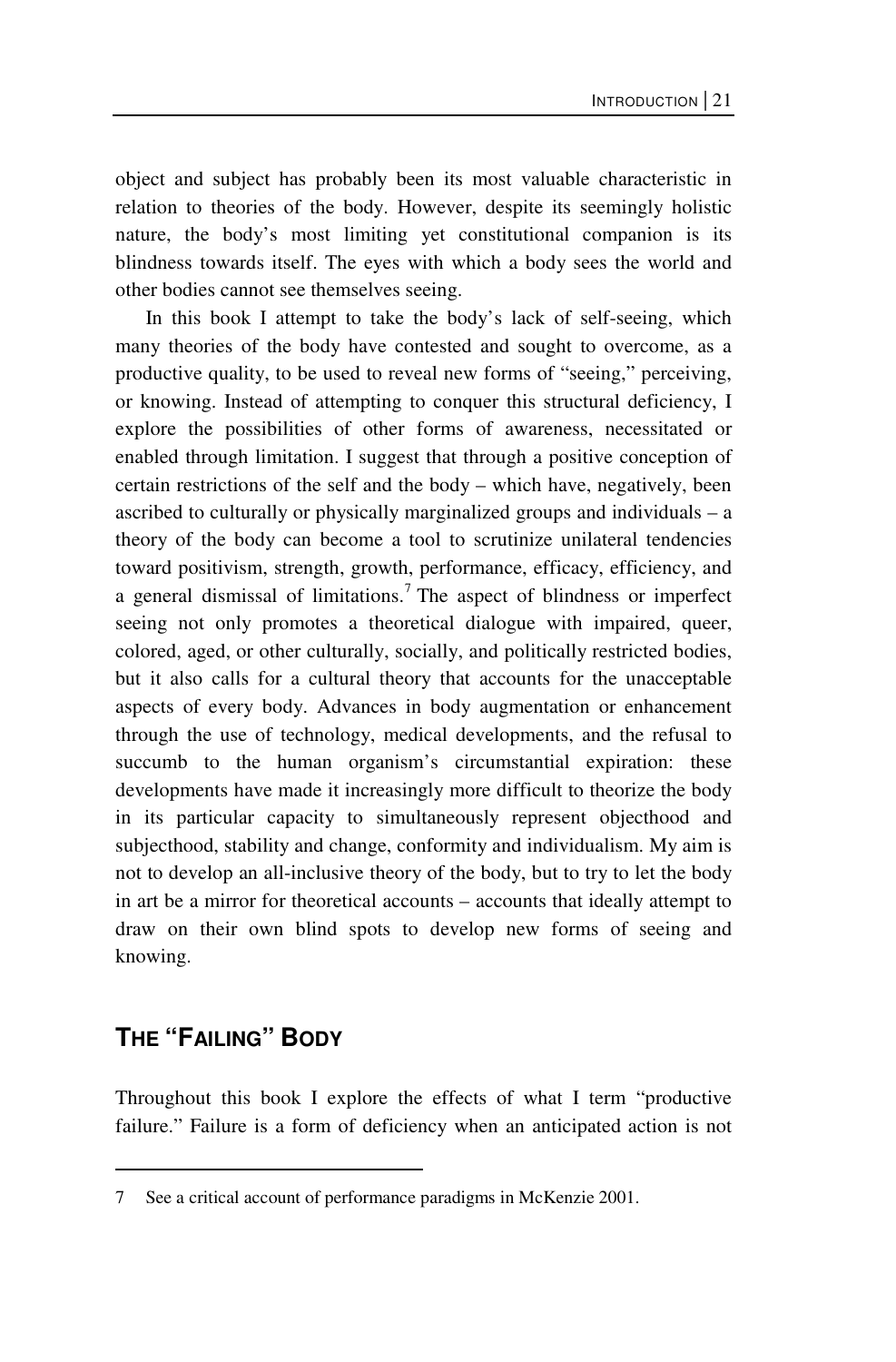object and subject has probably been its most valuable characteristic in relation to theories of the body. However, despite its seemingly holistic nature, the body's most limiting yet constitutional companion is its blindness towards itself. The eyes with which a body sees the world and other bodies cannot see themselves seeing.

In this book I attempt to take the body's lack of self-seeing, which many theories of the body have contested and sought to overcome, as a productive quality, to be used to reveal new forms of "seeing," perceiving, or knowing. Instead of attempting to conquer this structural deficiency, I explore the possibilities of other forms of awareness, necessitated or enabled through limitation. I suggest that through a positive conception of certain restrictions of the self and the body – which have, negatively, been ascribed to culturally or physically marginalized groups and individuals – a theory of the body can become a tool to scrutinize unilateral tendencies toward positivism, strength, growth, performance, efficacy, efficiency, and a general dismissal of limitations.<sup>7</sup> The aspect of blindness or imperfect seeing not only promotes a theoretical dialogue with impaired, queer, colored, aged, or other culturally, socially, and politically restricted bodies, but it also calls for a cultural theory that accounts for the unacceptable aspects of every body. Advances in body augmentation or enhancement through the use of technology, medical developments, and the refusal to succumb to the human organism's circumstantial expiration: these developments have made it increasingly more difficult to theorize the body in its particular capacity to simultaneously represent objecthood and subjecthood, stability and change, conformity and individualism. My aim is not to develop an all-inclusive theory of the body, but to try to let the body in art be a mirror for theoretical accounts – accounts that ideally attempt to draw on their own blind spots to develop new forms of seeing and knowing.

### **THE "FAILING" BODY**

 $\overline{a}$ 

Throughout this book I explore the effects of what I term "productive failure." Failure is a form of deficiency when an anticipated action is not

<sup>7</sup> See a critical account of performance paradigms in McKenzie 2001.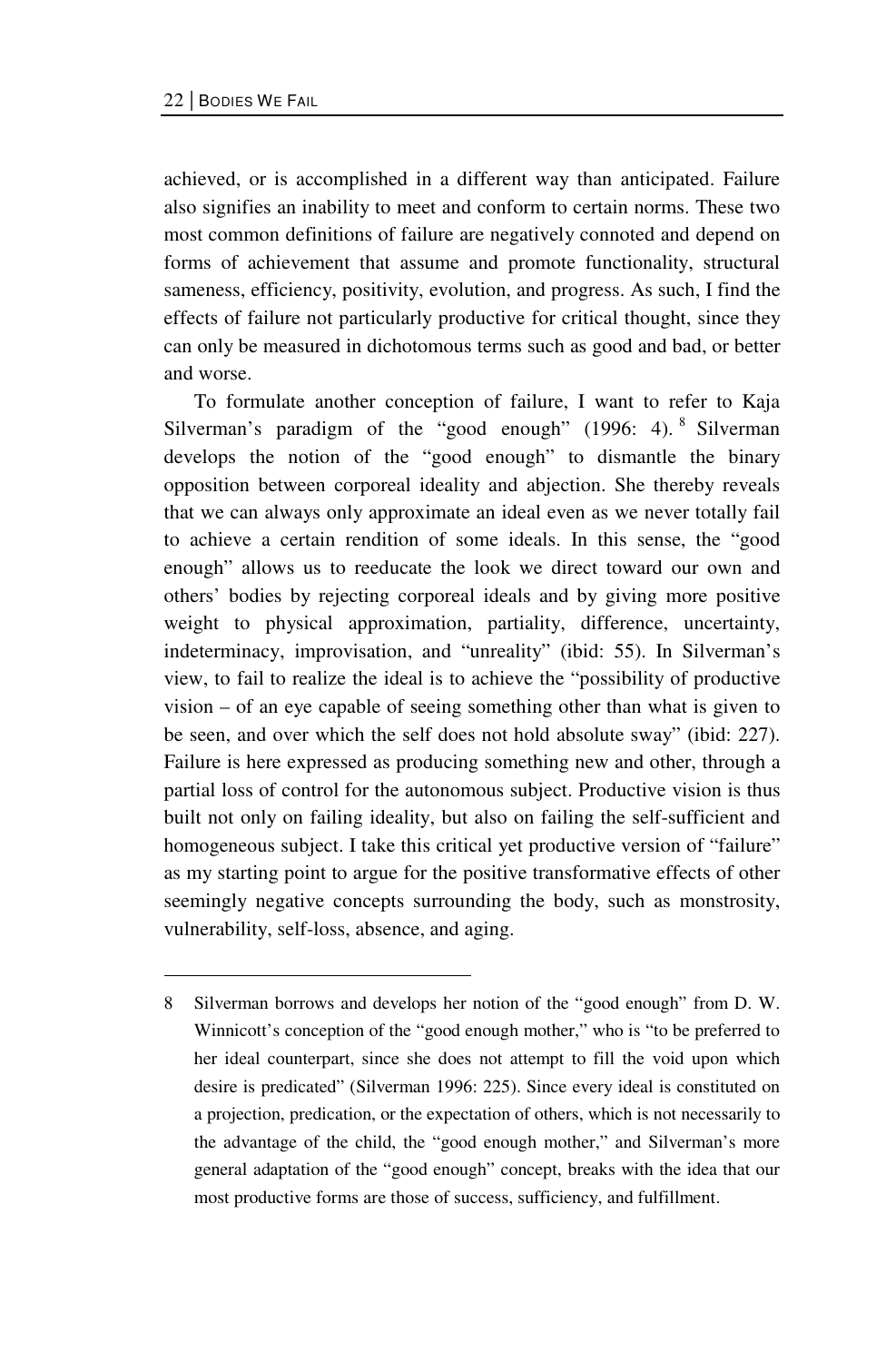$\overline{a}$ 

achieved, or is accomplished in a different way than anticipated. Failure also signifies an inability to meet and conform to certain norms. These two most common definitions of failure are negatively connoted and depend on forms of achievement that assume and promote functionality, structural sameness, efficiency, positivity, evolution, and progress. As such, I find the effects of failure not particularly productive for critical thought, since they can only be measured in dichotomous terms such as good and bad, or better and worse.

To formulate another conception of failure, I want to refer to Kaja Silverman's paradigm of the "good enough" (1996: 4). <sup>8</sup> Silverman develops the notion of the "good enough" to dismantle the binary opposition between corporeal ideality and abjection. She thereby reveals that we can always only approximate an ideal even as we never totally fail to achieve a certain rendition of some ideals. In this sense, the "good enough" allows us to reeducate the look we direct toward our own and others' bodies by rejecting corporeal ideals and by giving more positive weight to physical approximation, partiality, difference, uncertainty, indeterminacy, improvisation, and "unreality" (ibid: 55). In Silverman's view, to fail to realize the ideal is to achieve the "possibility of productive vision – of an eye capable of seeing something other than what is given to be seen, and over which the self does not hold absolute sway" (ibid: 227). Failure is here expressed as producing something new and other, through a partial loss of control for the autonomous subject. Productive vision is thus built not only on failing ideality, but also on failing the self-sufficient and homogeneous subject. I take this critical yet productive version of "failure" as my starting point to argue for the positive transformative effects of other seemingly negative concepts surrounding the body, such as monstrosity, vulnerability, self-loss, absence, and aging.

<sup>8</sup> Silverman borrows and develops her notion of the "good enough" from D. W. Winnicott's conception of the "good enough mother," who is "to be preferred to her ideal counterpart, since she does not attempt to fill the void upon which desire is predicated" (Silverman 1996: 225). Since every ideal is constituted on a projection, predication, or the expectation of others, which is not necessarily to the advantage of the child, the "good enough mother," and Silverman's more general adaptation of the "good enough" concept, breaks with the idea that our most productive forms are those of success, sufficiency, and fulfillment.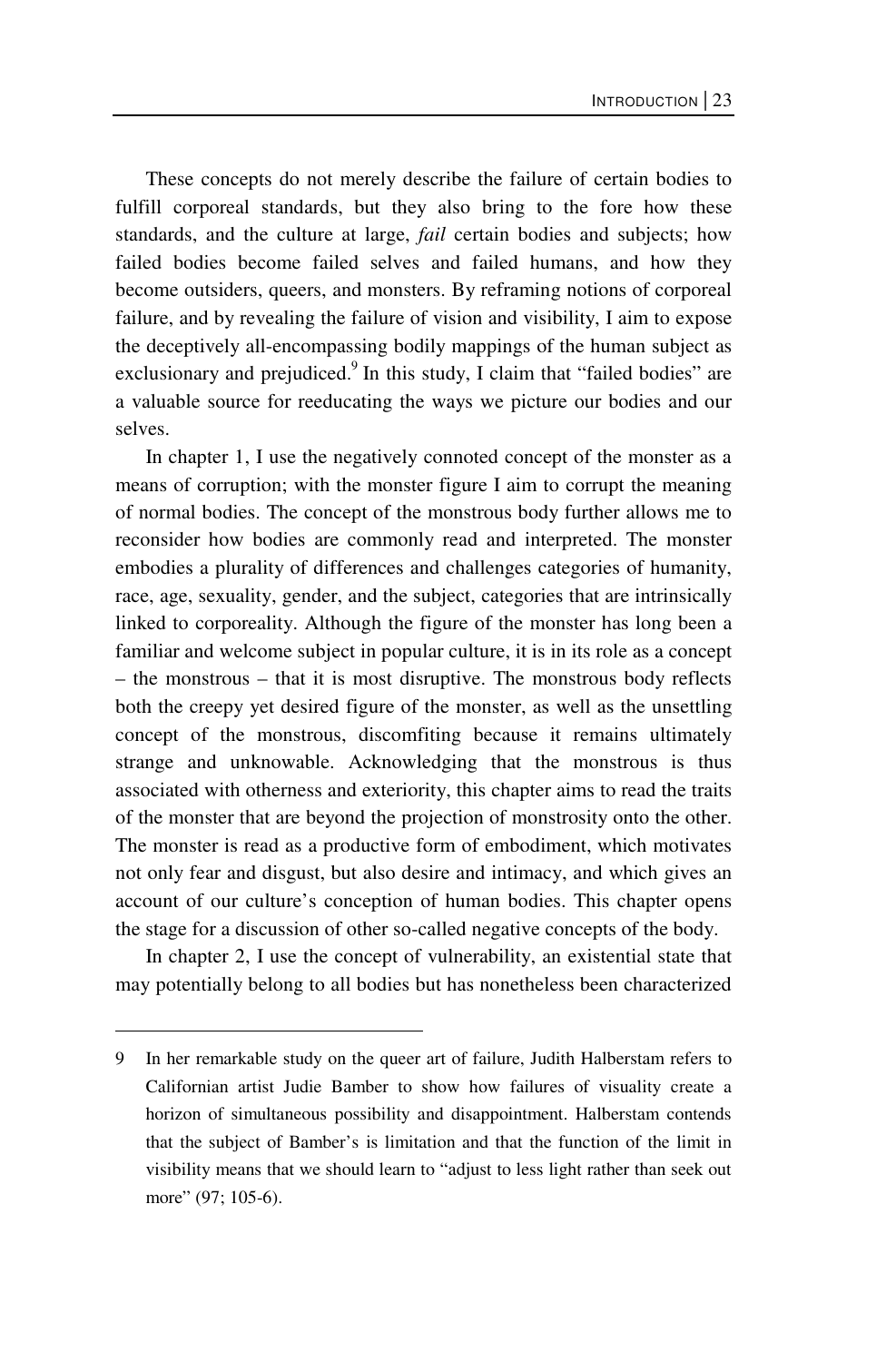These concepts do not merely describe the failure of certain bodies to fulfill corporeal standards, but they also bring to the fore how these standards, and the culture at large, *fail* certain bodies and subjects; how failed bodies become failed selves and failed humans, and how they become outsiders, queers, and monsters. By reframing notions of corporeal failure, and by revealing the failure of vision and visibility, I aim to expose the deceptively all-encompassing bodily mappings of the human subject as exclusionary and prejudiced.<sup>9</sup> In this study, I claim that "failed bodies" are a valuable source for reeducating the ways we picture our bodies and our selves.

In chapter 1, I use the negatively connoted concept of the monster as a means of corruption; with the monster figure I aim to corrupt the meaning of normal bodies. The concept of the monstrous body further allows me to reconsider how bodies are commonly read and interpreted. The monster embodies a plurality of differences and challenges categories of humanity, race, age, sexuality, gender, and the subject, categories that are intrinsically linked to corporeality. Although the figure of the monster has long been a familiar and welcome subject in popular culture, it is in its role as a concept – the monstrous – that it is most disruptive. The monstrous body reflects both the creepy yet desired figure of the monster, as well as the unsettling concept of the monstrous, discomfiting because it remains ultimately strange and unknowable. Acknowledging that the monstrous is thus associated with otherness and exteriority, this chapter aims to read the traits of the monster that are beyond the projection of monstrosity onto the other. The monster is read as a productive form of embodiment, which motivates not only fear and disgust, but also desire and intimacy, and which gives an account of our culture's conception of human bodies. This chapter opens the stage for a discussion of other so-called negative concepts of the body.

In chapter 2, I use the concept of vulnerability, an existential state that may potentially belong to all bodies but has nonetheless been characterized

 $\overline{a}$ 

<sup>9</sup> In her remarkable study on the queer art of failure, Judith Halberstam refers to Californian artist Judie Bamber to show how failures of visuality create a horizon of simultaneous possibility and disappointment. Halberstam contends that the subject of Bamber's is limitation and that the function of the limit in visibility means that we should learn to "adjust to less light rather than seek out more" (97; 105-6).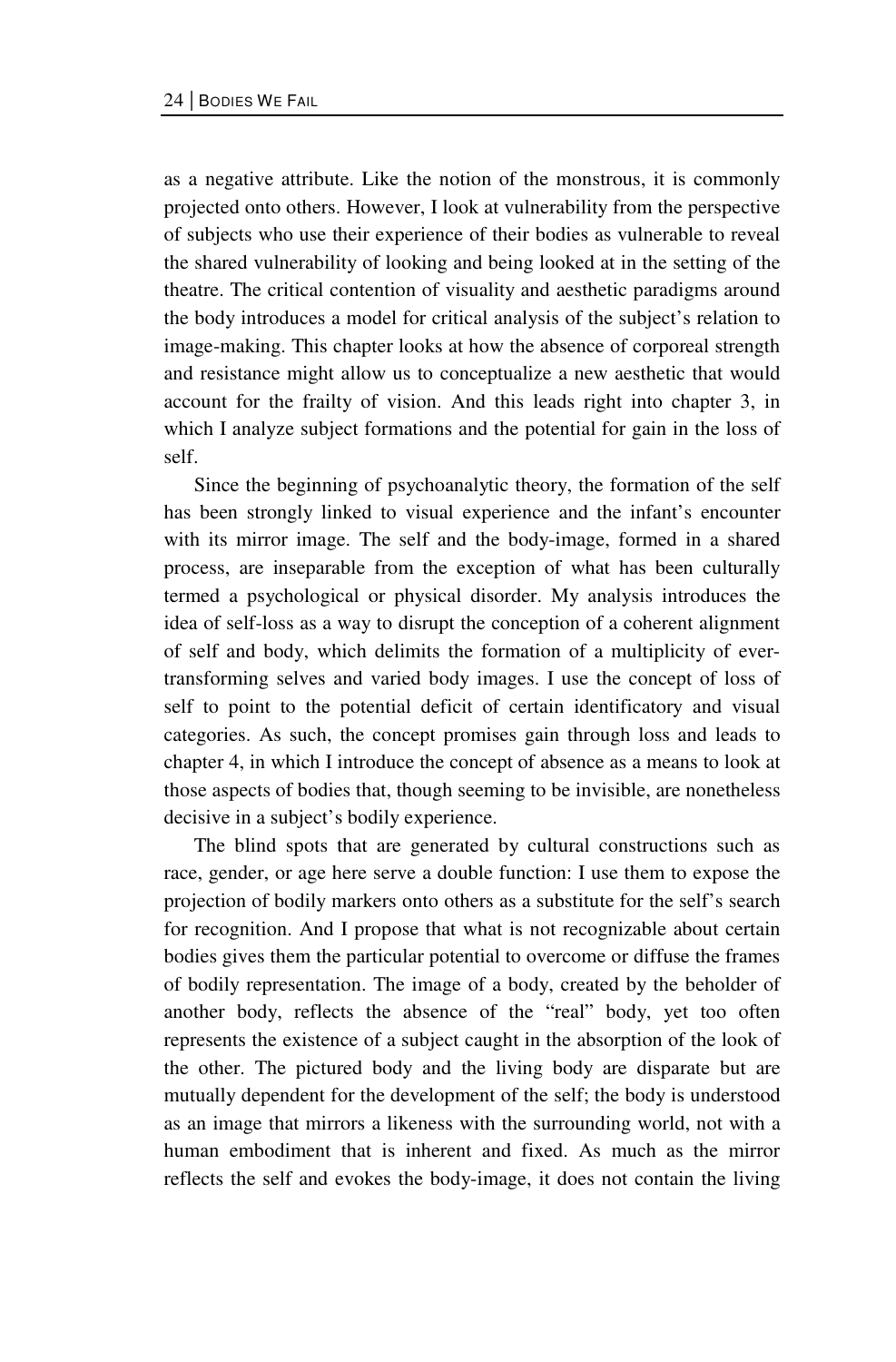as a negative attribute. Like the notion of the monstrous, it is commonly projected onto others. However, I look at vulnerability from the perspective of subjects who use their experience of their bodies as vulnerable to reveal the shared vulnerability of looking and being looked at in the setting of the theatre. The critical contention of visuality and aesthetic paradigms around the body introduces a model for critical analysis of the subject's relation to image-making. This chapter looks at how the absence of corporeal strength and resistance might allow us to conceptualize a new aesthetic that would account for the frailty of vision. And this leads right into chapter 3, in which I analyze subject formations and the potential for gain in the loss of self.

Since the beginning of psychoanalytic theory, the formation of the self has been strongly linked to visual experience and the infant's encounter with its mirror image. The self and the body-image, formed in a shared process, are inseparable from the exception of what has been culturally termed a psychological or physical disorder. My analysis introduces the idea of self-loss as a way to disrupt the conception of a coherent alignment of self and body, which delimits the formation of a multiplicity of evertransforming selves and varied body images. I use the concept of loss of self to point to the potential deficit of certain identificatory and visual categories. As such, the concept promises gain through loss and leads to chapter 4, in which I introduce the concept of absence as a means to look at those aspects of bodies that, though seeming to be invisible, are nonetheless decisive in a subject's bodily experience.

The blind spots that are generated by cultural constructions such as race, gender, or age here serve a double function: I use them to expose the projection of bodily markers onto others as a substitute for the self's search for recognition. And I propose that what is not recognizable about certain bodies gives them the particular potential to overcome or diffuse the frames of bodily representation. The image of a body, created by the beholder of another body, reflects the absence of the "real" body, yet too often represents the existence of a subject caught in the absorption of the look of the other. The pictured body and the living body are disparate but are mutually dependent for the development of the self; the body is understood as an image that mirrors a likeness with the surrounding world, not with a human embodiment that is inherent and fixed. As much as the mirror reflects the self and evokes the body-image, it does not contain the living